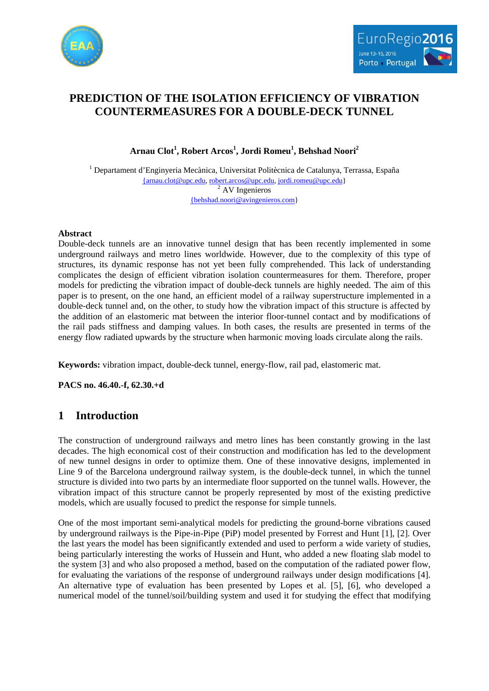



# **PREDICTION OF THE ISOLATION EFFICIENCY OF VIBRATION COUNTERMEASURES FOR A DOUBLE-DECK TUNNEL**

**Arnau Clot<sup>1</sup> , Robert Arcos<sup>1</sup> , Jordi Romeu<sup>1</sup> , Behshad Noori2**

 $<sup>1</sup>$  Departament d'Enginyeria Mecànica, Universitat Politècnica de Catalunya, Terrassa, España</sup> [{arnau.clot@upc.edu,](mailto:%7barnau.clot@upc.edu) [robert.arcos@upc.edu,](mailto:robert.arcos@upc.edu) [jordi.romeu@upc.edu}](mailto:jordi.romeu@upc.edu)  $2$  AV Ingenieros [{behshad.noori@avingenieros.com}](mailto:%7bbehshad.noori@avingenieros.com)

### **Abstract**

Double-deck tunnels are an innovative tunnel design that has been recently implemented in some underground railways and metro lines worldwide. However, due to the complexity of this type of structures, its dynamic response has not yet been fully comprehended. This lack of understanding complicates the design of efficient vibration isolation countermeasures for them. Therefore, proper models for predicting the vibration impact of double-deck tunnels are highly needed. The aim of this paper is to present, on the one hand, an efficient model of a railway superstructure implemented in a double-deck tunnel and, on the other, to study how the vibration impact of this structure is affected by the addition of an elastomeric mat between the interior floor-tunnel contact and by modifications of the rail pads stiffness and damping values. In both cases, the results are presented in terms of the energy flow radiated upwards by the structure when harmonic moving loads circulate along the rails.

**Keywords:** vibration impact, double-deck tunnel, energy-flow, rail pad, elastomeric mat.

**PACS no. 46.40.-f, 62.30.+d**

## **1 Introduction**

The construction of underground railways and metro lines has been constantly growing in the last decades. The high economical cost of their construction and modification has led to the development of new tunnel designs in order to optimize them. One of these innovative designs, implemented in Line 9 of the Barcelona underground railway system, is the double-deck tunnel, in which the tunnel structure is divided into two parts by an intermediate floor supported on the tunnel walls. However, the vibration impact of this structure cannot be properly represented by most of the existing predictive models, which are usually focused to predict the response for simple tunnels.

One of the most important semi-analytical models for predicting the ground-borne vibrations caused by underground railways is the Pipe-in-Pipe (PiP) model presented by Forrest and Hunt [1], [2]. Over the last years the model has been significantly extended and used to perform a wide variety of studies, being particularly interesting the works of Hussein and Hunt, who added a new floating slab model to the system [3] and who also proposed a method, based on the computation of the radiated power flow, for evaluating the variations of the response of underground railways under design modifications [4]. An alternative type of evaluation has been presented by Lopes et al. [5], [6], who developed a numerical model of the tunnel/soil/building system and used it for studying the effect that modifying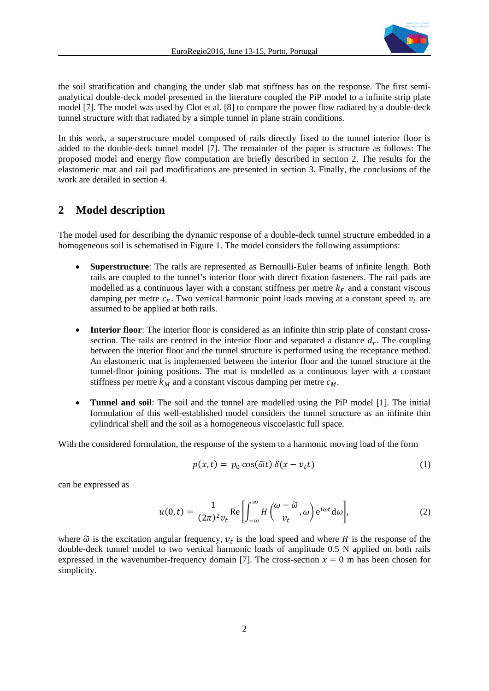

the soil stratification and changing the under slab mat stiffness has on the response. The first semianalytical double-deck model presented in the literature coupled the PiP model to a infinite strip plate model [7]. The model was used by Clot et al. [8] to compare the power flow radiated by a double-deck tunnel structure with that radiated by a simple tunnel in plane strain conditions.

In this work, a superstructure model composed of rails directly fixed to the tunnel interior floor is added to the double-deck tunnel model [7]. The remainder of the paper is structure as follows: The proposed model and energy flow computation are briefly described in section 2. The results for the elastomeric mat and rail pad modifications are presented in section 3. Finally, the conclusions of the work are detailed in section 4.

### **2 Model description**

The model used for describing the dynamic response of a double-deck tunnel structure embedded in a homogeneous soil is schematised in [Figure 1.](#page-2-0) The model considers the following assumptions:

- **Superstructure**: The rails are represented as Bernoulli-Euler beams of infinite length. Both rails are coupled to the tunnel's interior floor with direct fixation fasteners. The rail pads are modelled as a continuous layer with a constant stiffness per metre  $k_F$  and a constant viscous damping per metre  $c_F$ . Two vertical harmonic point loads moving at a constant speed  $v_t$  are assumed to be applied at both rails.
- **Interior floor**: The interior floor is considered as an infinite thin strip plate of constant crosssection. The rails are centred in the interior floor and separated a distance  $d_r$ . The coupling between the interior floor and the tunnel structure is performed using the receptance method. An elastomeric mat is implemented between the interior floor and the tunnel structure at the tunnel-floor joining positions. The mat is modelled as a continuous layer with a constant stiffness per metre  $k_M$  and a constant viscous damping per metre  $c_M$ .
- **Tunnel and soil**: The soil and the tunnel are modelled using the PiP model [1]. The initial formulation of this well-established model considers the tunnel structure as an infinite thin cylindrical shell and the soil as a homogeneous viscoelastic full space.

With the considered formulation, the response of the system to a harmonic moving load of the form

$$
p(x,t) = p_0 \cos(\tilde{\omega}t) \delta(x - v_t t)
$$
 (1)

can be expressed as

$$
u(0,t) = \frac{1}{(2\pi)^2 v_t} \text{Re}\left[\int_{-\infty}^{\infty} H\left(\frac{\omega - \widetilde{\omega}}{v_t}, \omega\right) e^{i\omega t} d\omega\right],\tag{2}
$$

where  $\tilde{\omega}$  is the excitation angular frequency,  $v_t$  is the load speed and where H is the response of the double-deck tunnel model to two vertical harmonic loads of amplitude 0.5 N applied on both rails expressed in the wavenumber-frequency domain [7]. The cross-section  $x = 0$  m has been chosen for simplicity.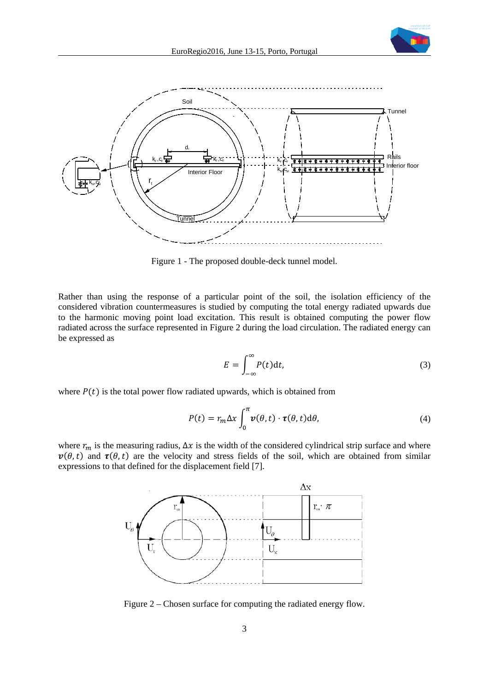



Figure 1 - The proposed double-deck tunnel model.

<span id="page-2-0"></span>Rather than using the response of a particular point of the soil, the isolation efficiency of the considered vibration countermeasures is studied by computing the total energy radiated upwards due to the harmonic moving point load excitation. This result is obtained computing the power flow radiated across the surface represented in [Figure 2](#page-2-1) during the load circulation. The radiated energy can be expressed as

$$
E = \int_{-\infty}^{\infty} P(t) \mathrm{d}t,\tag{3}
$$

where  $P(t)$  is the total power flow radiated upwards, which is obtained from

$$
P(t) = r_m \Delta x \int_0^{\pi} \nu(\theta, t) \cdot \tau(\theta, t) d\theta,
$$
\n(4)

where  $r_m$  is the measuring radius,  $\Delta x$  is the width of the considered cylindrical strip surface and where  $v(\theta,t)$  and  $\tau(\theta,t)$  are the velocity and stress fields of the soil, which are obtained from similar expressions to that defined for the displacement field [7].



<span id="page-2-1"></span>Figure 2 – Chosen surface for computing the radiated energy flow.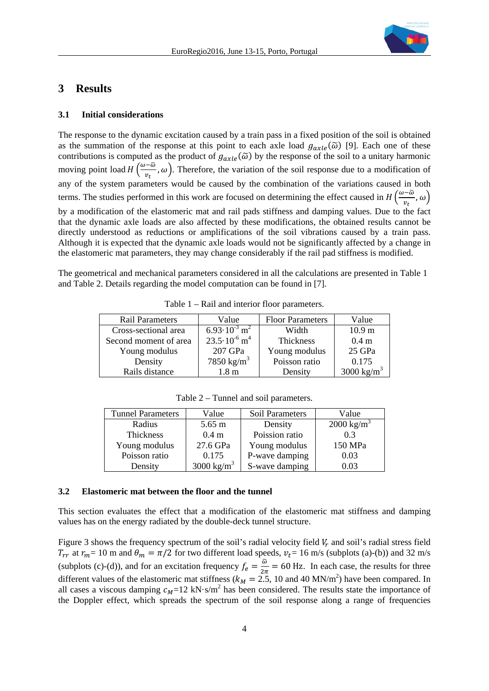

## **3 Results**

#### **3.1 Initial considerations**

The response to the dynamic excitation caused by a train pass in a fixed position of the soil is obtained as the summation of the response at this point to each axle load  $g_{axle}(\tilde{\omega})$  [9]. Each one of these contributions is computed as the product of  $g_{axle}(\tilde{\omega})$  by the response of the soil to a unitary harmonic moving point load  $H\left(\frac{\omega-\omega}{n\epsilon}\right)$  $(\frac{\omega}{v_t}, \omega)$ . Therefore, the variation of the soil response due to a modification of any of the system parameters would be caused by the combination of the variations caused in both terms. The studies performed in this work are focused on determining the effect caused in  $H\left(\frac{\omega-\omega}{n}\right)$  $\frac{1}{v_t}$ ,  $\omega$  ) by a modification of the elastomeric mat and rail pads stiffness and damping values. Due to the fact that the dynamic axle loads are also affected by these modifications, the obtained results cannot be directly understood as reductions or amplifications of the soil vibrations caused by a train pass. Although it is expected that the dynamic axle loads would not be significantly affected by a change in the elastomeric mat parameters, they may change considerably if the rail pad stiffness is modified.

<span id="page-3-0"></span>The geometrical and mechanical parameters considered in all the calculations are presented in [Table 1](#page-3-0) and [Table 2.](#page-3-1) Details regarding the model computation can be found in [7].

| <b>Rail Parameters</b> | Value                               | <b>Floor Parameters</b> | Value                  |
|------------------------|-------------------------------------|-------------------------|------------------------|
| Cross-sectional area   | $6.93 \cdot 10^{-3}$ m <sup>2</sup> | Width                   | 10.9 <sub>m</sub>      |
| Second moment of area  | $23.5 \cdot 10^{-6}$ m <sup>4</sup> | Thickness               | 0.4 <sub>m</sub>       |
| Young modulus          | 207 GPa                             | Young modulus           | 25 GPa                 |
| Density                | 7850 kg/m <sup>3</sup>              | Poisson ratio           | 0.175                  |
| Rails distance         | 1.8 <sub>m</sub>                    | Density                 | 3000 kg/m <sup>3</sup> |

Table 1 – Rail and interior floor parameters.

Table 2 – Tunnel and soil parameters.

<span id="page-3-1"></span>

| <b>Tunnel Parameters</b> | Value            | Soil Parameters | Value                 |
|--------------------------|------------------|-----------------|-----------------------|
| Radius                   | $5.65 \text{ m}$ | Density         | $2000 \text{ kg/m}^3$ |
| Thickness                | 0.4 <sub>m</sub> | Poission ratio  | 0.3                   |
| Young modulus            | 27.6 GPa         | Young modulus   | 150 MPa               |
| Poisson ratio            | 0.175            | P-wave damping  | 0.03                  |
| Density                  | 3000 kg/ $m^3$   | S-wave damping  | 0.03                  |

#### **3.2 Elastomeric mat between the floor and the tunnel**

This section evaluates the effect that a modification of the elastomeric mat stiffness and damping values has on the energy radiated by the double-deck tunnel structure.

[Figure 3](#page-4-0) shows the frequency spectrum of the soil's radial velocity field  $V_r$  and soil's radial stress field  $T_{rr}$  at  $r_m$  = 10 m and  $\theta_m = \pi/2$  for two different load speeds,  $v_t$  = 16 m/s (subplots (a)-(b)) and 32 m/s (subplots (c)-(d)), and for an excitation frequency  $f_e = \frac{\omega}{2\pi} = 60$  Hz. In each case, the results for three different values of the elastomeric mat stiffness ( $k_M = 2.5$ , 10 and 40 MN/m<sup>2</sup>) have been compared. In all cases a viscous damping  $c_M$ =12 kN·s/m<sup>2</sup> has been considered. The results state the importance of the Doppler effect, which spreads the spectrum of the soil response along a range of frequencies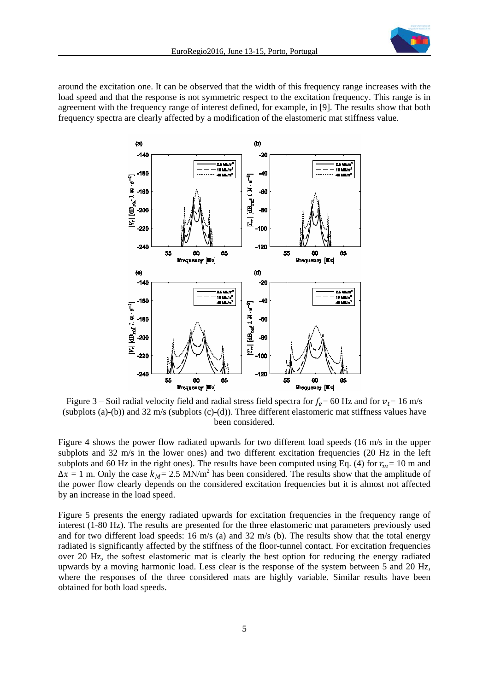

around the excitation one. It can be observed that the width of this frequency range increases with the load speed and that the response is not symmetric respect to the excitation frequency. This range is in agreement with the frequency range of interest defined, for example, in [9]. The results show that both frequency spectra are clearly affected by a modification of the elastomeric mat stiffness value.



<span id="page-4-0"></span>Figure 3 – Soil radial velocity field and radial stress field spectra for  $f_e$  = 60 Hz and for  $v_t$  = 16 m/s (subplots (a)-(b)) and 32 m/s (subplots (c)-(d)). Three different elastomeric mat stiffness values have been considered.

[Figure 4](#page-5-0) shows the power flow radiated upwards for two different load speeds (16 m/s in the upper subplots and 32 m/s in the lower ones) and two different excitation frequencies (20 Hz in the left subplots and 60 Hz in the right ones). The results have been computed using Eq. (4) for  $r_m = 10$  m and  $\Delta x = 1$  m. Only the case  $k_M = 2.5$  MN/m<sup>2</sup> has been considered. The results show that the amplitude of the power flow clearly depends on the considered excitation frequencies but it is almost not affected by an increase in the load speed.

[Figure 5](#page-6-0) presents the energy radiated upwards for excitation frequencies in the frequency range of interest (1-80 Hz). The results are presented for the three elastomeric mat parameters previously used and for two different load speeds: 16 m/s (a) and 32 m/s (b). The results show that the total energy radiated is significantly affected by the stiffness of the floor-tunnel contact. For excitation frequencies over 20 Hz, the softest elastomeric mat is clearly the best option for reducing the energy radiated upwards by a moving harmonic load. Less clear is the response of the system between 5 and 20 Hz, where the responses of the three considered mats are highly variable. Similar results have been obtained for both load speeds.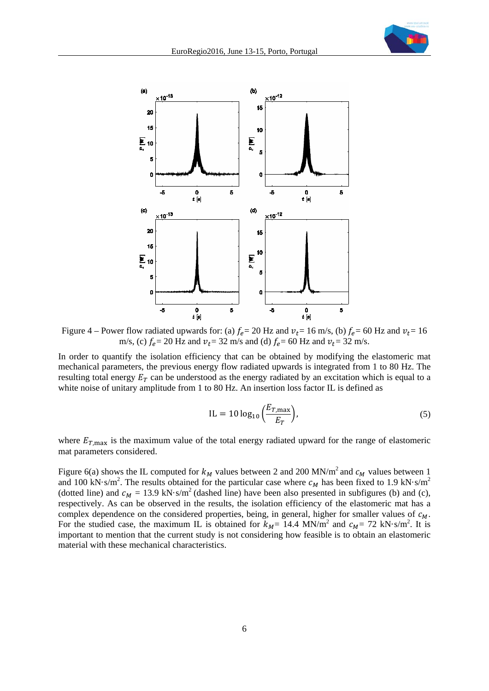



<span id="page-5-0"></span>Figure 4 – Power flow radiated upwards for: (a)  $f_e$  = 20 Hz and  $v_t$  = 16 m/s, (b)  $f_e$  = 60 Hz and  $v_t$  = 16 m/s, (c)  $f_e = 20$  Hz and  $v_t = 32$  m/s and (d)  $f_e = 60$  Hz and  $v_t = 32$  m/s.

In order to quantify the isolation efficiency that can be obtained by modifying the elastomeric mat mechanical parameters, the previous energy flow radiated upwards is integrated from 1 to 80 Hz. The resulting total energy  $E_T$  can be understood as the energy radiated by an excitation which is equal to a white noise of unitary amplitude from 1 to 80 Hz. An insertion loss factor IL is defined as

$$
IL = 10 \log_{10} \left( \frac{E_{T,\text{max}}}{E_T} \right),\tag{5}
$$

where  $E_{T,\text{max}}$  is the maximum value of the total energy radiated upward for the range of elastomeric mat parameters considered.

[Figure 6\(](#page-6-1)a) shows the IL computed for  $k_M$  values between 2 and 200 MN/m<sup>2</sup> and  $c_M$  values between 1 and 100 kN·s/m<sup>2</sup>. The results obtained for the particular case where  $c_M$  has been fixed to 1.9 kN·s/m<sup>2</sup> (dotted line) and  $c_M = 13.9 \text{ kN} \cdot \text{s/m}^2$  (dashed line) have been also presented in subfigures (b) and (c), respectively. As can be observed in the results, the isolation efficiency of the elastomeric mat has a complex dependence on the considered properties, being, in general, higher for smaller values of  $c_M$ . For the studied case, the maximum IL is obtained for  $k_M$  = 14.4 MN/m<sup>2</sup> and  $c_M$  = 72 kN·s/m<sup>2</sup>. It is important to mention that the current study is not considering how feasible is to obtain an elastomeric material with these mechanical characteristics.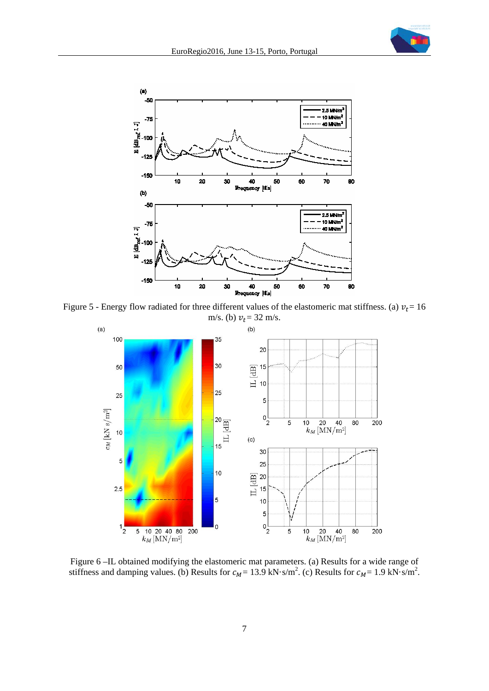



<span id="page-6-0"></span>Figure 5 - Energy flow radiated for three different values of the elastomeric mat stiffness. (a)  $v_t$  = 16



<span id="page-6-1"></span>Figure 6 –IL obtained modifying the elastomeric mat parameters. (a) Results for a wide range of stiffness and damping values. (b) Results for  $c_M = 13.9 \text{ kN} \cdot \text{s/m}^2$ . (c) Results for  $c_M = 1.9 \text{ kN} \cdot \text{s/m}^2$ .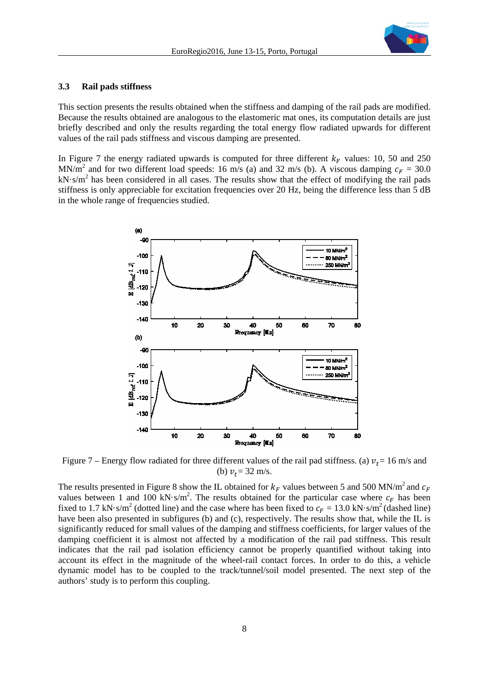

#### **3.3 Rail pads stiffness**

This section presents the results obtained when the stiffness and damping of the rail pads are modified. Because the results obtained are analogous to the elastomeric mat ones, its computation details are just briefly described and only the results regarding the total energy flow radiated upwards for different values of the rail pads stiffness and viscous damping are presented.

In [Figure 7](#page-7-0) the energy radiated upwards is computed for three different  $k_F$  values: 10, 50 and 250 MN/m<sup>2</sup> and for two different load speeds: 16 m/s (a) and 32 m/s (b). A viscous damping  $c_F = 30.0$  $kN·s/m<sup>2</sup>$  has been considered in all cases. The results show that the effect of modifying the rail pads stiffness is only appreciable for excitation frequencies over 20 Hz, being the difference less than 5 dB in the whole range of frequencies studied.



<span id="page-7-0"></span>Figure 7 – Energy flow radiated for three different values of the rail pad stiffness. (a)  $v_t = 16$  m/s and (b)  $v_t = 32$  m/s.

The results presented in [Figure 8](#page-8-0) show the IL obtained for  $k_F$  values between 5 and 500 MN/m<sup>2</sup> and  $c_F$ values between 1 and 100 kN·s/m<sup>2</sup>. The results obtained for the particular case where  $c_F$  has been fixed to 1.7 kN·s/m<sup>2</sup> (dotted line) and the case where has been fixed to  $c_F = 13.0$  kN·s/m<sup>2</sup> (dashed line) have been also presented in subfigures (b) and (c), respectively. The results show that, while the IL is significantly reduced for small values of the damping and stiffness coefficients, for larger values of the damping coefficient it is almost not affected by a modification of the rail pad stiffness. This result indicates that the rail pad isolation efficiency cannot be properly quantified without taking into account its effect in the magnitude of the wheel-rail contact forces. In order to do this, a vehicle dynamic model has to be coupled to the track/tunnel/soil model presented. The next step of the authors' study is to perform this coupling.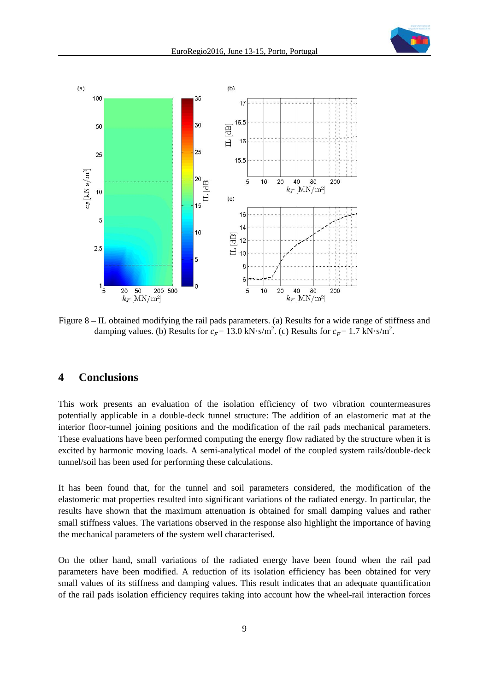



<span id="page-8-0"></span>Figure 8 – IL obtained modifying the rail pads parameters. (a) Results for a wide range of stiffness and damping values. (b) Results for  $c_F = 13.0 \text{ kN} \cdot \text{s/m}^2$ . (c) Results for  $c_F = 1.7 \text{ kN} \cdot \text{s/m}^2$ .

### **4 Conclusions**

This work presents an evaluation of the isolation efficiency of two vibration countermeasures potentially applicable in a double-deck tunnel structure: The addition of an elastomeric mat at the interior floor-tunnel joining positions and the modification of the rail pads mechanical parameters. These evaluations have been performed computing the energy flow radiated by the structure when it is excited by harmonic moving loads. A semi-analytical model of the coupled system rails/double-deck tunnel/soil has been used for performing these calculations.

It has been found that, for the tunnel and soil parameters considered, the modification of the elastomeric mat properties resulted into significant variations of the radiated energy. In particular, the results have shown that the maximum attenuation is obtained for small damping values and rather small stiffness values. The variations observed in the response also highlight the importance of having the mechanical parameters of the system well characterised.

On the other hand, small variations of the radiated energy have been found when the rail pad parameters have been modified. A reduction of its isolation efficiency has been obtained for very small values of its stiffness and damping values. This result indicates that an adequate quantification of the rail pads isolation efficiency requires taking into account how the wheel-rail interaction forces